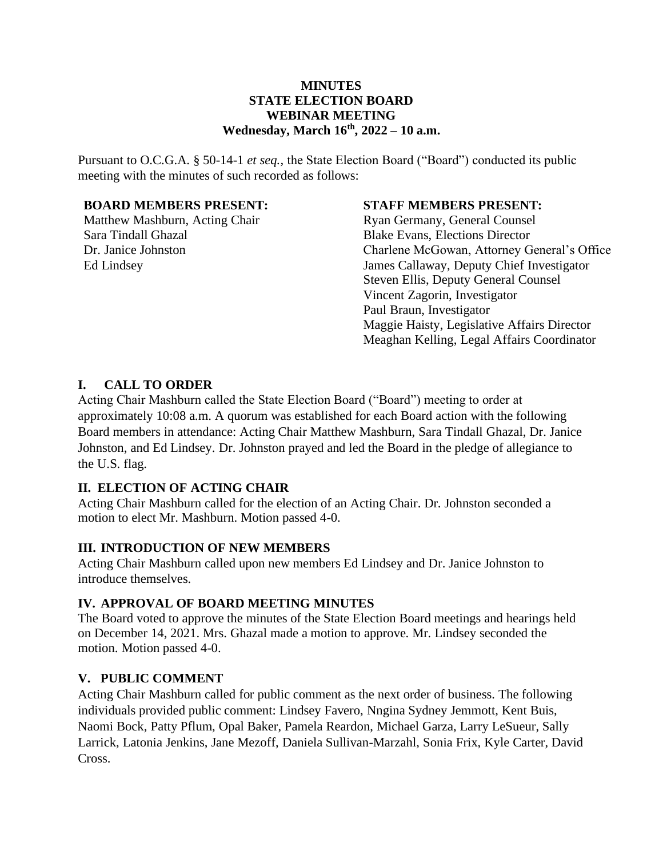## **MINUTES STATE ELECTION BOARD WEBINAR MEETING Wednesday, March 16th, 2022 – 10 a.m.**

Pursuant to O.C.G.A. § 50-14-1 *et seq.,* the State Election Board ("Board") conducted its public meeting with the minutes of such recorded as follows:

### **BOARD MEMBERS PRESENT:**

Matthew Mashburn, Acting Chair Sara Tindall Ghazal Dr. Janice Johnston Ed Lindsey

## **STAFF MEMBERS PRESENT:**

Ryan Germany, General Counsel Blake Evans, Elections Director Charlene McGowan, Attorney General's Office James Callaway, Deputy Chief Investigator Steven Ellis, Deputy General Counsel Vincent Zagorin, Investigator Paul Braun, Investigator Maggie Haisty, Legislative Affairs Director Meaghan Kelling, Legal Affairs Coordinator

## **I. CALL TO ORDER**

Acting Chair Mashburn called the State Election Board ("Board") meeting to order at approximately 10:08 a.m. A quorum was established for each Board action with the following Board members in attendance: Acting Chair Matthew Mashburn, Sara Tindall Ghazal, Dr. Janice Johnston, and Ed Lindsey. Dr. Johnston prayed and led the Board in the pledge of allegiance to the U.S. flag.

## **II. ELECTION OF ACTING CHAIR**

Acting Chair Mashburn called for the election of an Acting Chair. Dr. Johnston seconded a motion to elect Mr. Mashburn. Motion passed 4-0.

### **III. INTRODUCTION OF NEW MEMBERS**

Acting Chair Mashburn called upon new members Ed Lindsey and Dr. Janice Johnston to introduce themselves.

### **IV. APPROVAL OF BOARD MEETING MINUTES**

The Board voted to approve the minutes of the State Election Board meetings and hearings held on December 14, 2021. Mrs. Ghazal made a motion to approve. Mr. Lindsey seconded the motion. Motion passed 4-0.

# **V. PUBLIC COMMENT**

Acting Chair Mashburn called for public comment as the next order of business. The following individuals provided public comment: Lindsey Favero, Nngina Sydney Jemmott, Kent Buis, Naomi Bock, Patty Pflum, Opal Baker, Pamela Reardon, Michael Garza, Larry LeSueur, Sally Larrick, Latonia Jenkins, Jane Mezoff, Daniela Sullivan-Marzahl, Sonia Frix, Kyle Carter, David Cross.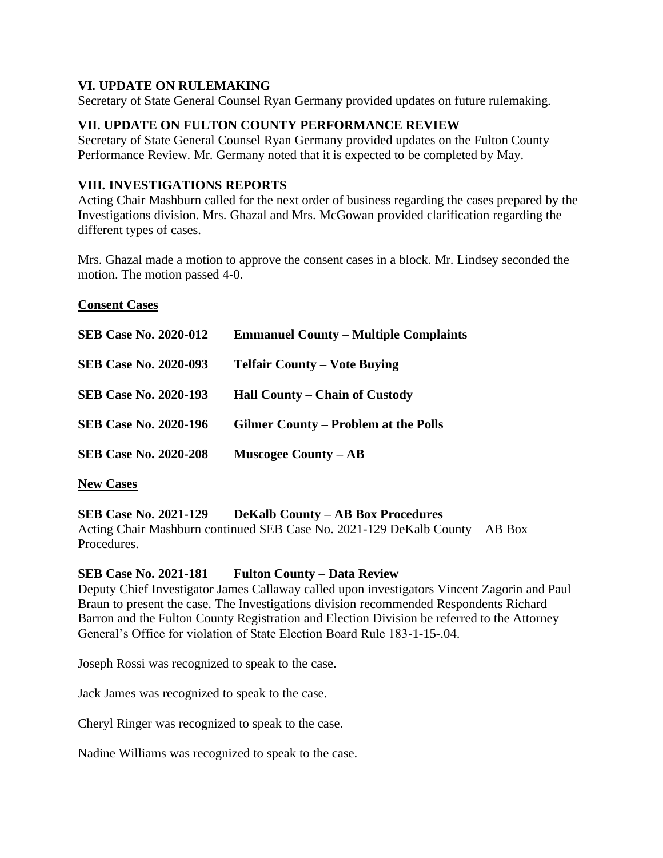## **VI. UPDATE ON RULEMAKING**

Secretary of State General Counsel Ryan Germany provided updates on future rulemaking.

# **VII. UPDATE ON FULTON COUNTY PERFORMANCE REVIEW**

Secretary of State General Counsel Ryan Germany provided updates on the Fulton County Performance Review. Mr. Germany noted that it is expected to be completed by May.

## **VIII. INVESTIGATIONS REPORTS**

Acting Chair Mashburn called for the next order of business regarding the cases prepared by the Investigations division. Mrs. Ghazal and Mrs. McGowan provided clarification regarding the different types of cases.

Mrs. Ghazal made a motion to approve the consent cases in a block. Mr. Lindsey seconded the motion. The motion passed 4-0.

### **Consent Cases**

| <b>SEB Case No. 2020-012</b> | <b>Emmanuel County – Multiple Complaints</b> |
|------------------------------|----------------------------------------------|
| <b>SEB Case No. 2020-093</b> | <b>Telfair County – Vote Buying</b>          |
| <b>SEB Case No. 2020-193</b> | Hall County – Chain of Custody               |
| <b>SEB Case No. 2020-196</b> | <b>Gilmer County – Problem at the Polls</b>  |
| <b>SEB Case No. 2020-208</b> | <b>Muscogee County – AB</b>                  |

**New Cases**

# **SEB Case No. 2021-129 DeKalb County – AB Box Procedures**

Acting Chair Mashburn continued SEB Case No. 2021-129 DeKalb County – AB Box Procedures.

## **SEB Case No. 2021-181 Fulton County – Data Review**

Deputy Chief Investigator James Callaway called upon investigators Vincent Zagorin and Paul Braun to present the case. The Investigations division recommended Respondents Richard Barron and the Fulton County Registration and Election Division be referred to the Attorney General's Office for violation of State Election Board Rule 183-1-15-.04.

Joseph Rossi was recognized to speak to the case.

Jack James was recognized to speak to the case.

Cheryl Ringer was recognized to speak to the case.

Nadine Williams was recognized to speak to the case.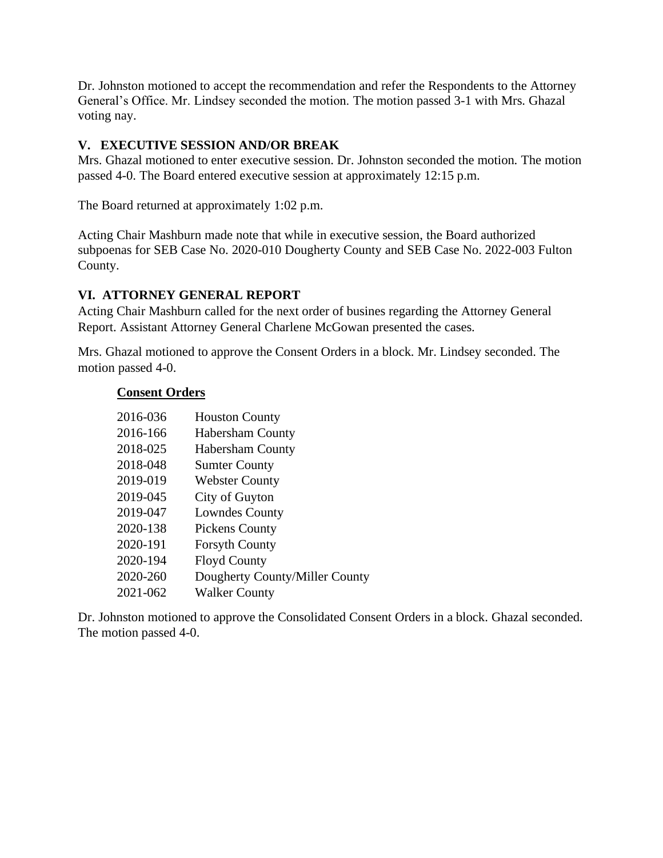Dr. Johnston motioned to accept the recommendation and refer the Respondents to the Attorney General's Office. Mr. Lindsey seconded the motion. The motion passed 3-1 with Mrs. Ghazal voting nay.

# **V. EXECUTIVE SESSION AND/OR BREAK**

Mrs. Ghazal motioned to enter executive session. Dr. Johnston seconded the motion. The motion passed 4-0. The Board entered executive session at approximately 12:15 p.m.

The Board returned at approximately 1:02 p.m.

Acting Chair Mashburn made note that while in executive session, the Board authorized subpoenas for SEB Case No. 2020-010 Dougherty County and SEB Case No. 2022-003 Fulton County.

# **VI. ATTORNEY GENERAL REPORT**

Acting Chair Mashburn called for the next order of busines regarding the Attorney General Report. Assistant Attorney General Charlene McGowan presented the cases.

Mrs. Ghazal motioned to approve the Consent Orders in a block. Mr. Lindsey seconded. The motion passed 4-0.

## **Consent Orders**

| 2016-036 | <b>Houston County</b>          |
|----------|--------------------------------|
| 2016-166 | <b>Habersham County</b>        |
| 2018-025 | <b>Habersham County</b>        |
| 2018-048 | <b>Sumter County</b>           |
| 2019-019 | <b>Webster County</b>          |
| 2019-045 | City of Guyton                 |
| 2019-047 | <b>Lowndes County</b>          |
| 2020-138 | <b>Pickens County</b>          |
| 2020-191 | <b>Forsyth County</b>          |
| 2020-194 | <b>Floyd County</b>            |
| 2020-260 | Dougherty County/Miller County |
| 2021-062 | <b>Walker County</b>           |

Dr. Johnston motioned to approve the Consolidated Consent Orders in a block. Ghazal seconded. The motion passed 4-0.